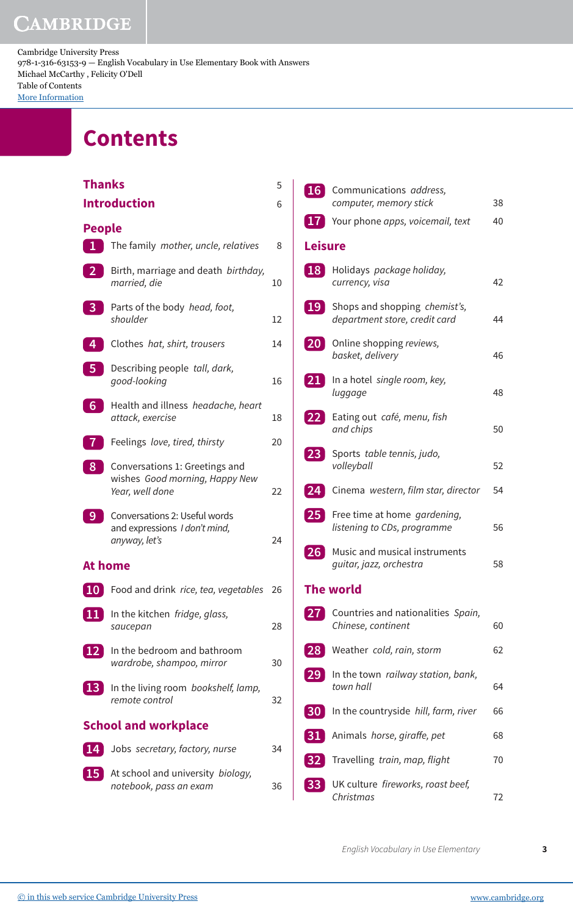## **CAMBRIDGE**

Cambridge University Press 978-1-316-63153-9 — English Vocabulary in Use Elementary Book with Answers Michael McCarthy , Felicity O'Dell Table of Contents [More Information](www.cambridge.org/9781316631539)

## **Contents**

| <b>Thanks</b>               |                                                                                     | 5  |  |  |
|-----------------------------|-------------------------------------------------------------------------------------|----|--|--|
|                             | <b>Introduction</b>                                                                 | 6  |  |  |
| <b>People</b>               |                                                                                     |    |  |  |
| $\mathbf{1}$                | The family mother, uncle, relatives                                                 | 8  |  |  |
| $\overline{2}$              | Birth, marriage and death birthday,<br>married, die                                 | 10 |  |  |
| $\overline{\mathbf{3}}$     | Parts of the body head, foot,<br>shoulder                                           | 12 |  |  |
| 4                           | Clothes hat, shirt, trousers                                                        | 14 |  |  |
| -5                          | Describing people tall, dark,<br>qood-looking                                       | 16 |  |  |
| 6                           | Health and illness headache, heart<br>attack, exercise                              | 18 |  |  |
|                             | Feelings love, tired, thirsty                                                       | 20 |  |  |
| 8                           | Conversations 1: Greetings and<br>wishes Good morning, Happy New<br>Year, well done | 22 |  |  |
| 9                           | Conversations 2: Useful words<br>and expressions I don't mind,<br>anyway, let's     | 24 |  |  |
| At home                     |                                                                                     |    |  |  |
| <b>10</b>                   | Food and drink rice, tea, vegetables                                                | 26 |  |  |
| 11                          | In the kitchen fridge, glass,<br>saucepan                                           | 28 |  |  |
| 12                          | In the bedroom and bathroom<br>wardrobe, shampoo, mirror                            | 30 |  |  |
| 13                          | In the living room bookshelf, lamp,<br>remote control                               | 32 |  |  |
| <b>School and workplace</b> |                                                                                     |    |  |  |
| 14                          | Jobs secretary, factory, nurse                                                      | 34 |  |  |
| 15                          | At school and university biology,<br>notebook, pass an exam                         | 36 |  |  |

|                | 16 Communications address,                                     |    |
|----------------|----------------------------------------------------------------|----|
|                | computer, memory stick                                         | 38 |
|                | 17 Your phone apps, voicemail, text                            | 40 |
| <b>Leisure</b> |                                                                |    |
| 18             | Holidays package holiday,<br>currency, visa                    | 42 |
| <b>19</b>      | Shops and shopping chemist's,<br>department store, credit card | 44 |
| 20             | Online shopping reviews,<br>basket, delivery                   | 46 |
| 21             | In a hotel single room, key,<br>luggage                        | 48 |
| 22             | Eating out café, menu, fish<br>and chips                       | 50 |
| 23             | Sports table tennis, judo,<br>volleyball                       | 52 |
|                | 24 Cinema western, film star, director                         | 54 |
| 25             | Free time at home gardening,<br>listening to CDs, programme    | 56 |
| 26             | Music and musical instruments<br>guitar, jazz, orchestra       | 58 |
|                | <b>The world</b>                                               |    |
| 27             | Countries and nationalities Spain,<br>Chinese, continent       | 60 |
| 28             | Weather cold, rain, storm                                      | 62 |
| 29             | In the town railway station, bank,<br>town hall                | 64 |
| 30             | In the countryside hill, farm, river                           | 66 |
| 31             | Animals horse, giraffe, pet                                    | 68 |
| 32             | Travelling train, map, flight                                  | 70 |
|                | UK culture fireworks, roast beef,<br>Christmas                 | 72 |